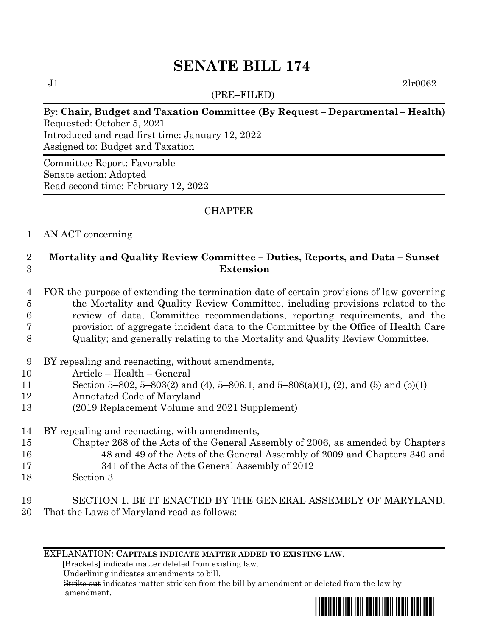# **SENATE BILL 174**

(PRE–FILED)

 $J1$  2lr0062

#### By: **Chair, Budget and Taxation Committee (By Request – Departmental – Health)** Requested: October 5, 2021 Introduced and read first time: January 12, 2022 Assigned to: Budget and Taxation

Committee Report: Favorable Senate action: Adopted Read second time: February 12, 2022

CHAPTER \_\_\_\_\_\_

#### 1 AN ACT concerning

## 2 **Mortality and Quality Review Committee – Duties, Reports, and Data – Sunset**  3 **Extension**

- 4 FOR the purpose of extending the termination date of certain provisions of law governing 5 the Mortality and Quality Review Committee, including provisions related to the 6 review of data, Committee recommendations, reporting requirements, and the 7 provision of aggregate incident data to the Committee by the Office of Health Care
- 8 Quality; and generally relating to the Mortality and Quality Review Committee.
- 9 BY repealing and reenacting, without amendments,
- 10 Article Health General
- 11 Section 5–802, 5–803(2) and (4), 5–806.1, and 5–808(a)(1), (2), and (5) and (b)(1)
- 12 Annotated Code of Maryland
- 13 (2019 Replacement Volume and 2021 Supplement)
- 14 BY repealing and reenacting, with amendments,
- 15 Chapter 268 of the Acts of the General Assembly of 2006, as amended by Chapters 16 48 and 49 of the Acts of the General Assembly of 2009 and Chapters 340 and 17 341 of the Acts of the General Assembly of 2012
- 18 Section 3

# 19 SECTION 1. BE IT ENACTED BY THE GENERAL ASSEMBLY OF MARYLAND,

20 That the Laws of Maryland read as follows:

EXPLANATION: **CAPITALS INDICATE MATTER ADDED TO EXISTING LAW**.

 **[**Brackets**]** indicate matter deleted from existing law.

Underlining indicates amendments to bill.

 Strike out indicates matter stricken from the bill by amendment or deleted from the law by amendment.

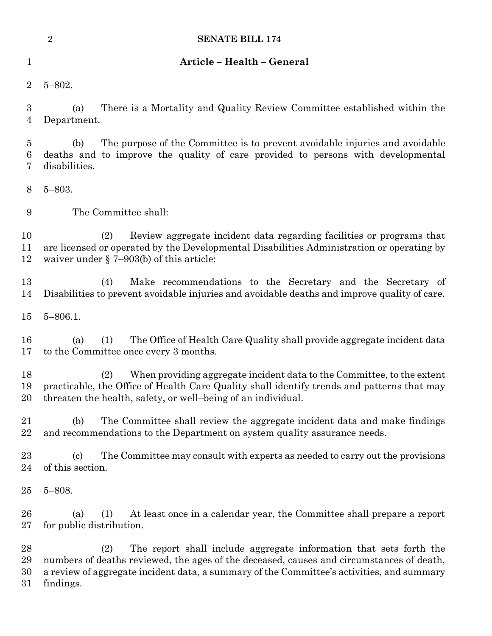|                            | <b>SENATE BILL 174</b><br>$\sqrt{2}$                                                                                                                                                                                                                                            |
|----------------------------|---------------------------------------------------------------------------------------------------------------------------------------------------------------------------------------------------------------------------------------------------------------------------------|
| $\mathbf 1$                | Article - Health - General                                                                                                                                                                                                                                                      |
| $\overline{2}$             | $5 - 802.$                                                                                                                                                                                                                                                                      |
| $\boldsymbol{3}$<br>4      | There is a Mortality and Quality Review Committee established within the<br>(a)<br>Department.                                                                                                                                                                                  |
| 5<br>$\boldsymbol{6}$<br>7 | The purpose of the Committee is to prevent avoidable injuries and avoidable<br>(b)<br>deaths and to improve the quality of care provided to persons with developmental<br>disabilities.                                                                                         |
| $8\phantom{1}$             | $5 - 803.$                                                                                                                                                                                                                                                                      |
| 9                          | The Committee shall:                                                                                                                                                                                                                                                            |
| 10<br>11<br>12             | Review aggregate incident data regarding facilities or programs that<br>(2)<br>are licensed or operated by the Developmental Disabilities Administration or operating by<br>waiver under $\S$ 7–903(b) of this article;                                                         |
| 13<br>14                   | Make recommendations to the Secretary and the Secretary of<br>(4)<br>Disabilities to prevent avoidable injuries and avoidable deaths and improve quality of care.                                                                                                               |
| 15                         | $5 - 806.1$ .                                                                                                                                                                                                                                                                   |
| 16<br>17                   | The Office of Health Care Quality shall provide aggregate incident data<br>(a)<br>(1)<br>to the Committee once every 3 months.                                                                                                                                                  |
| 18<br>19<br>20             | (2)<br>When providing aggregate incident data to the Committee, to the extent<br>practicable, the Office of Health Care Quality shall identify trends and patterns that may<br>threaten the health, safety, or well-being of an individual.                                     |
| 21<br>22                   | The Committee shall review the aggregate incident data and make findings<br>(b)<br>and recommendations to the Department on system quality assurance needs.                                                                                                                     |
| 23<br>24                   | The Committee may consult with experts as needed to carry out the provisions<br>$\left( \mathrm{c}\right)$<br>of this section.                                                                                                                                                  |
| 25                         | $5 - 808.$                                                                                                                                                                                                                                                                      |
| 26<br>27                   | (a)<br>At least once in a calendar year, the Committee shall prepare a report<br>(1)<br>for public distribution.                                                                                                                                                                |
| 28<br>29<br>30<br>31       | The report shall include aggregate information that sets forth the<br>(2)<br>numbers of deaths reviewed, the ages of the deceased, causes and circumstances of death,<br>a review of aggregate incident data, a summary of the Committee's activities, and summary<br>findings. |